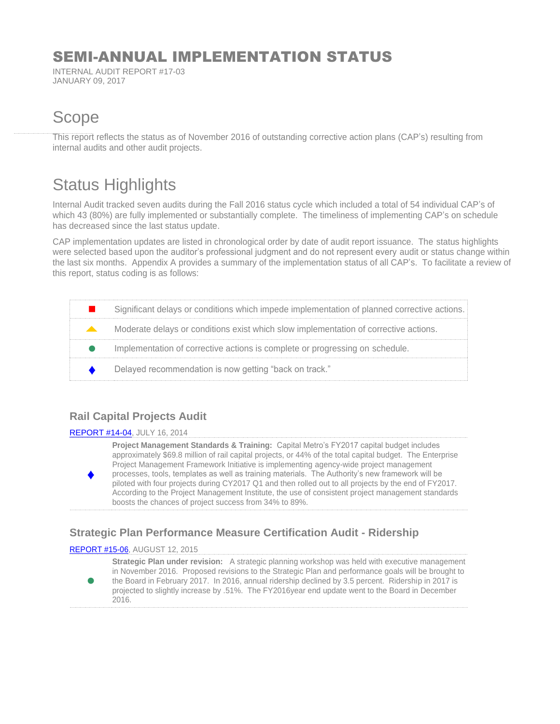## SEMI-ANNUAL IMPLEMENTATION STATUS

INTERNAL AUDIT REPORT #17-03 JANUARY 09, 2017

## Scope

This report reflects the status as of November 2016 of outstanding corrective action plans (CAP's) resulting from internal audits and other audit projects.

# Status Highlights

Internal Audit tracked seven audits during the Fall 2016 status cycle which included a total of 54 individual CAP's of which 43 (80%) are fully implemented or substantially complete. The timeliness of implementing CAP's on schedule has decreased since the last status update.

CAP implementation updates are listed in chronological order by date of audit report issuance. The status highlights were selected based upon the auditor's professional judgment and do not represent every audit or status change within the last six months. Appendix A provides a summary of the implementation status of all CAP's. To facilitate a review of this report, status coding is as follows:

| Significant delays or conditions which impede implementation of planned corrective actions. |
|---------------------------------------------------------------------------------------------|
| Moderate delays or conditions exist which slow implementation of corrective actions.        |
| Implementation of corrective actions is complete or progressing on schedule.                |
| Delayed recommendation is now getting "back on track."                                      |

## **Rail Capital Projects Audit**

### [REPORT #14-04,](http://www.capmetro.org/uploadedFiles/Capmetroorg/About_Us/Finance_and_Audit/Rail%20Capital%20Projects.pdf) JULY 16, 2014

♦

 $\bullet$ 

**Project Management Standards & Training:** Capital Metro's FY2017 capital budget includes approximately \$69.8 million of rail capital projects, or 44% of the total capital budget. The Enterprise Project Management Framework Initiative is implementing agency-wide project management processes, tools, templates as well as training materials. The Authority's new framework will be piloted with four projects during CY2017 Q1 and then rolled out to all projects by the end of FY2017. According to the Project Management Institute, the use of consistent project management standards boosts the chances of project success from 34% to 89%.

## **Strategic Plan Performance Measure Certification Audit - Ridership**

#### [REPORT #15-06,](http://www.capmetro.org/uploadedFiles/Capmetroorg/About_Us/Finance_and_Audit/strategic%20plan%20performance%20measure.docx) AUGUST 12, 2015

**Strategic Plan under revision:** A strategic planning workshop was held with executive management in November 2016. Proposed revisions to the Strategic Plan and performance goals will be brought to the Board in February 2017. In 2016, annual ridership declined by 3.5 percent. Ridership in 2017 is projected to slightly increase by .51%. The FY2016year end update went to the Board in December 2016.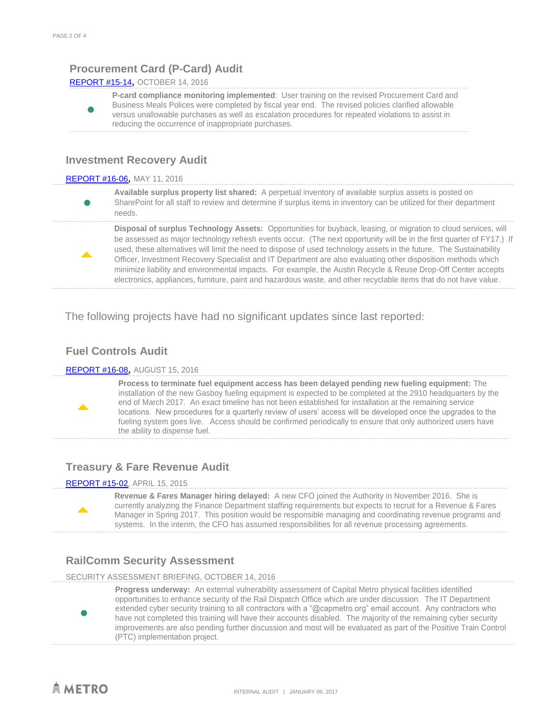## **Procurement Card (P-Card) Audit**

#### [REPORT #15-14](https://capmetro.sharepoint.com/sites/ADT/_layouts/15/guestaccess.aspx?guestaccesstoken=VITIO5ADhXPmHzQ53OXv0dMfg32OQnTqTrs2tuRBMZw%3d&docid=2_1a1ad0d6e24694b6b9d8e2d069ff5879d&rev=1), OCTOBER 14, 2016

**P-card compliance monitoring implemented**: User training on the revised Procurement Card and Business Meals Polices were completed by fiscal year end. The revised policies clarified allowable versus unallowable purchases as well as escalation procedures for repeated violations to assist in reducing the occurrence of inappropriate purchases.

### **Investment Recovery Audit**

#### [REPORT #16-06](https://capmetro.sharepoint.com/sites/ADT/_layouts/15/guestaccess.aspx?guestaccesstoken=fvuckmv2qn9XCnCTZsLbwP5l6NKGHmPHxQeF0jP%2bYrY%3d&docid=2_1be8ffe2c974b4275852b95ca19f0f202&rev=1), MAY 11, 2016

 $\bullet$ 

 $\blacktriangle$ 

 $\bullet$ 

**Available surplus property list shared:** A perpetual inventory of available surplus assets is posted on SharePoint for all staff to review and determine if surplus items in inventory can be utilized for their department needs.

**Disposal of surplus Technology Assets:** Opportunities for buyback, leasing, or migration to cloud services, will be assessed as major technology refresh events occur. (The next opportunity will be in the first quarter of FY17.) If used, these alternatives will limit the need to dispose of used technology assets in the future. The Sustainability Officer, Investment Recovery Specialist and IT Department are also evaluating other disposition methods which minimize liability and environmental impacts. For example, the Austin Recycle & Reuse Drop-Off Center accepts electronics, appliances, furniture, paint and hazardous waste, and other recyclable items that do not have value.

The following projects have had no significant updates since last reported:

### **Fuel Controls Audit**

#### **[REPORT #16-08](https://capmetro.sharepoint.com/sites/ADT/_layouts/15/guestaccess.aspx?guestaccesstoken=cJpWKdICjRQV83flXvw2%2fXI7Am%2fvhauHXryyzkRhuyc%3d&docid=2_1e27ee28683f043b790f7298b93ecbaf9&rev=1), AUGUST 15, 2016**

**Process to terminate fuel equipment access has been delayed pending new fueling equipment:** The installation of the new Gasboy fueling equipment is expected to be completed at the 2910 headquarters by the end of March 2017. An exact timeline has not been established for installation at the remaining service locations. New procedures for a quarterly review of users' access will be developed once the upgrades to the fueling system goes live. Access should be confirmed periodically to ensure that only authorized users have the ability to dispense fuel.

## **Treasury & Fare Revenue Audit**

#### [REPORT #15-02,](http://www.capmetro.org/uploadedFiles/Capmetroorg/About_Us/Finance_and_Audit/Treasury%20and%20Fare%20Revenue%20Audit.pdf) APRIL 15, 2015

**Revenue & Fares Manager hiring delayed:** A new CFO joined the Authority in November 2016. She is currently analyzing the Finance Department staffing requirements but expects to recruit for a Revenue & Fares Manager in Spring 2017. This position would be responsible managing and coordinating revenue programs and systems. In the interim, the CFO has assumed responsibilities for all revenue processing agreements.

## **RailComm Security Assessment**

#### SECURITY ASSESSMENT BRIEFING, OCTOBER 14, 2016

 $\bullet$ **Progress underway:** An external vulnerability assessment of Capital Metro physical facilities identified opportunities to enhance security of the Rail Dispatch Office which are under discussion. The IT Department extended cyber security training to all contractors with a "@capmetro.org" email account. Any contractors who have not completed this training will have their accounts disabled. The majority of the remaining cyber security improvements are also pending further discussion and most will be evaluated as part of the Positive Train Control (PTC) implementation project.

 $AMETRO$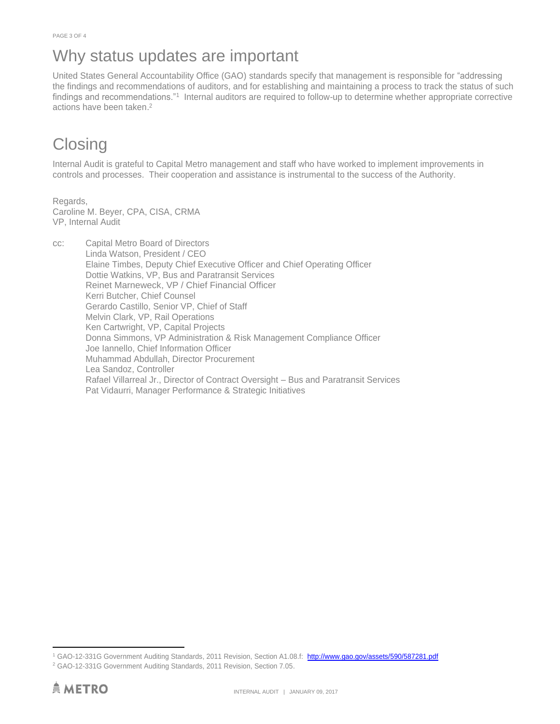## Why status updates are important

United States General Accountability Office (GAO) standards specify that management is responsible for "addressing the findings and recommendations of auditors, and for establishing and maintaining a process to track the status of such findings and recommendations."<sup>1</sup> Internal auditors are required to follow-up to determine whether appropriate corrective actions have been taken. 2

# **Closing**

Internal Audit is grateful to Capital Metro management and staff who have worked to implement improvements in controls and processes. Their cooperation and assistance is instrumental to the success of the Authority.

Regards, Caroline M. Beyer, CPA, CISA, CRMA VP, Internal Audit

cc: Capital Metro Board of Directors Linda Watson, President / CEO Elaine Timbes, Deputy Chief Executive Officer and Chief Operating Officer Dottie Watkins, VP, Bus and Paratransit Services Reinet Marneweck, VP / Chief Financial Officer Kerri Butcher, Chief Counsel Gerardo Castillo, Senior VP, Chief of Staff Melvin Clark, VP, Rail Operations Ken Cartwright, VP, Capital Projects Donna Simmons, VP Administration & Risk Management Compliance Officer Joe Iannello, Chief Information Officer Muhammad Abdullah, Director Procurement Lea Sandoz, Controller Rafael Villarreal Jr., Director of Contract Oversight – Bus and Paratransit Services Pat Vidaurri, Manager Performance & Strategic Initiatives

 $\overline{a}$ 

<sup>&</sup>lt;sup>1</sup> GAO-12-331G Government Auditing Standards, 2011 Revision, Section A1.08.f: <http://www.gao.gov/assets/590/587281.pdf>

<sup>2</sup> GAO-12-331G Government Auditing Standards, 2011 Revision, Section 7.05.